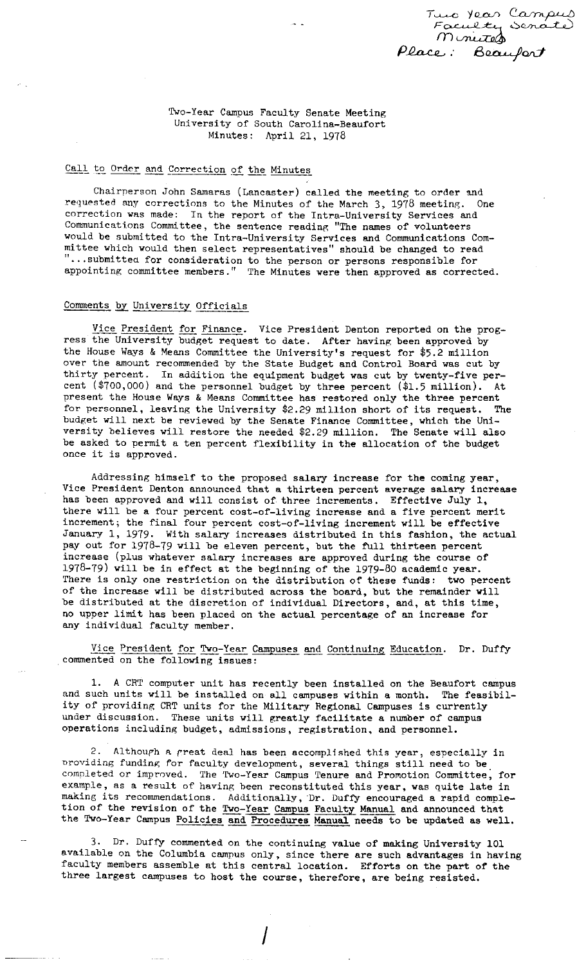

Two-Year Campus Faculty Senate Meeting University of South Carolina-Beaufort Minutes: April 21, 1978

# Call to Order and Correction of the Minutes

Chairperson John Samaras (Lancaster) called the meeting to order and requested any corrections to the Minutes of the March 3, 1978 meeting. One correction was made: In the report of the Intra-University Services and Communications Committee, the sentence reading "The names of volunteers would be submitted to the Intra-University Services and Communications Committee which would then select representatives" should be changed to read " •.. submitted for consideration to the person or persons responsible for appointing committee members." The Minutes were then approved as corrected.

# Comments by University Officials

Vice President for Finance. Vice President Denton reported on the progress the University budget request to date. After having been approved by the House Ways & Means Committee the University's request for \$5.2 million over the amount recommended by the State Budget and Control Board was cut by thirty percent. In addition the equipment budget was cut by twenty-five percent (\$700,000) and the personnel budget by three percent (\$1.5 million). At present the House Ways & Means Committee has restored only the three percent for personnel, leaving the University \$2.29 million short of its request. The budget will next be reviewed by the Senate Finance Committee, which the University believes will restore the needed \$2. 29 million. The Senate will also be asked to permit a ten percent flexibility in the allocation of the budget once it is approved.

Addressing himself to the proposed salary increase for the coming year, Vice President Denton announced that a thirteen percent average salary increase has been approved and will consist of three increments. Effective July 1, there will be a four percent cost-of-living increase and a five percent merit increment; the final four percent cost-of-living increment will be effective January 1, 1979. With salary increases distributed in this fashion, the actual pay out for 1978-79 will be eleven percent, but the full thirteen percent increase (plus whatever salary increases **are** approved during the course of 1978-79) will be in effect at the beginning of the 1979-80 academic **year.**  There is only one restriction on the distribution of these funds: two percent of the increase will be distributed across the board, but the remainder will be distributed at the discretion of individual Directors, and, at this time, no upper limit has been placed on the actual percentage of an increase for any individual faculty member.

Vice President for Two-Year Campuses and Continuing Education. Dr. Duffy commented on the following issues:

1. A CRT computer unit has recently been installed on the Beaufort campus and such units will be installed on all campuses within a month. The feasibility of providing CRT units for the Military Regional Campuses is currently under discussion. These units will greatly facilitate a number of campus operations including budget, admissions, registration, and personnel.

2. Although a great deal has been accomplished this year, especially in nroviding funding for faculty development, several things still need to be\_ completed or improved. The Two-Year Campus Tenure and Promotion Committee, for example, as a result of having been reconstituted this year, was quite late in making its recommendations. Additionally, Dr. Duffy encouraged a rapid completion of the revision of the Two-Year Campus Faculty Manual and announced that the Two-Year Campus Policies and Procedures Manual needs to be updated as well.

3. Dr, Duffy commented on the continuing value of making University 101 available on the Columbia campus only, since there are such advantages in having faculty members assemble at this central location. Efforts on the part of the three largest campuses to host the course, therefore, are being resisted.

I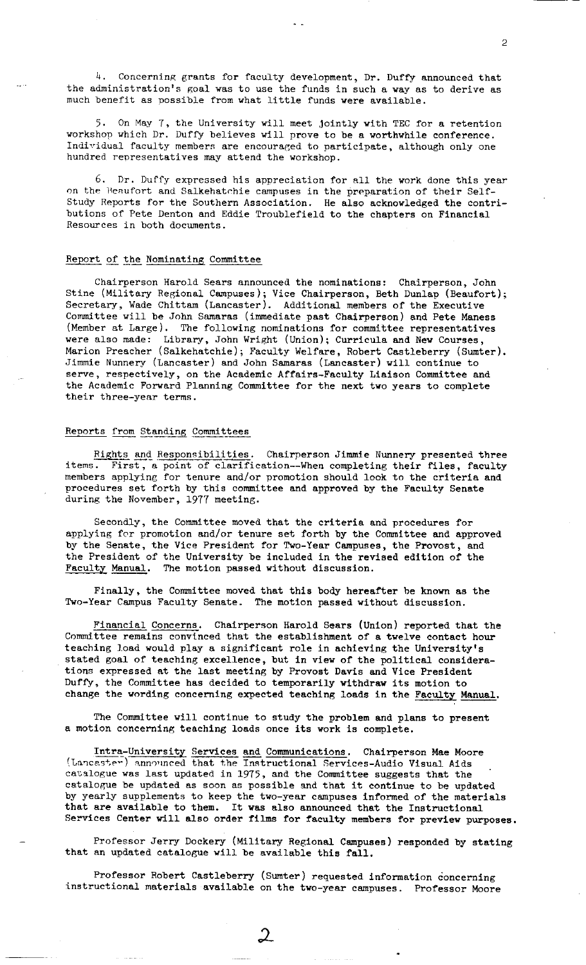4. Concerning grants for faculty development, Dr. Duffy announced that the administration's goal was to use the funds in such a way as to derive as much benefit as possible from what little funds were available.

5. On May 7, the University will meet jointly with TEC for a retention workshop which Dr. Duffy believes will prove to be a worthwhile conference. Individual faculty members are encouraged to participate, although only one hundred representatives may attend the workshop.

6. Dr. Duffy expressed his appreciation for all the work done this year on the Beaufort and Salkehatchie campuses in the preparation of their Self-Study Reports for the Southern Association. He also acknowledged the contributions of Pete Denton and Eddie Troublefield to the chapters on Financial Resources in both documents.

#### Report of the Nominating Committee

Chairperson Harold Sears announced the nominations: Chairperson, John Stine (Military Regional Campuses); Vice Chairperson, Beth Dunlap (Beaufort); Secretary, Wade Chittam (Lancaster). Additional members of the Executive Committee will be John Samaras (immediate past Chairperson) and Pete Maness (Member at Large). The following nominations for committee representatives were also made: Library, John Wright (Union); Curricula and New Courses, Marion Preacher (Salkehatchie); Faculty Welfare, Robert Castleberry (Sumter). Jimmie Nunnery (Lancaster) and John Samaras (Lancaster) will continue to serve, respectively, on the Academic Affairs-Faculty Liaison Committee and the Academic Forward Planning Committee for the next two years to complete their three-year terms.

# Renorts from Standing Committees

Rights and Responsibilities. Chairperson Jimmie Nunnery presented three items. First, a point of clarification--When completing their files, faculty members applying for tenure and/or promotion should look to the criteria and procedures set forth by this committee and approved by the Faculty Senate during the November, 1977 meeting.

Secondly, the Committee moved that the criteria and procedures for applying for promotion and/or tenure set forth by the Committee and approved by the Senate, the Vice President for Two-Year Campuses, the Provost, and the President of the University be included in the revised edition of the Faculty Manual. The motion passed without discussion.

Finally, the Committee moved that this body hereafter be known as the Two-Year Campus Faculty Senate. The motion passed without discussion.

Financial Concerns. Chairperson Harold Sears (Union) reported that the Committee remains convinced that the establishment of a twelve contact hour teaching load would play a significant role in achieving the University's stated goal of teaching excellence, but in **view** of the political considerations expressed at the last meeting by Provost Davis and Vice President Duffy, the Committee has decided to temporarily **withdraw** its motion to change the wording concerning expected teaching loads in the Faculty Manual.

The Committee will continue to study the problem and plans to present a motion concerning teaching loads once its work is complete.

Intra-University Services and Communications. Chairperson Mae Moore (Lancaster) announced that the Instructional Services-Audio Visual Aids catalogue was last updated in 1975, and the Committee suggests that the catalogue be updated as soon as possible and that it continue to be updated by yearly supplements to keep the two-year campuses informed of the materials that are available to them. It was also announced that the Instructional Services Center will also order films for faculty members for preview purposes.

Professor Jerry Dockery (Military Regional Cempuses) responded by stating that an updated catalogue will be available this fall.

Professor Robert Castleberry (Sumter) requested information concerning instructional materials available on the two-year campuses. Professor Moore

 $\mathfrak{D}% _{T}=\mathfrak{D}_{T}\!\left( a,b\right) ,\mathfrak{D}_{T}=\mathfrak{D}_{T}\!\left( a,b\right) ,$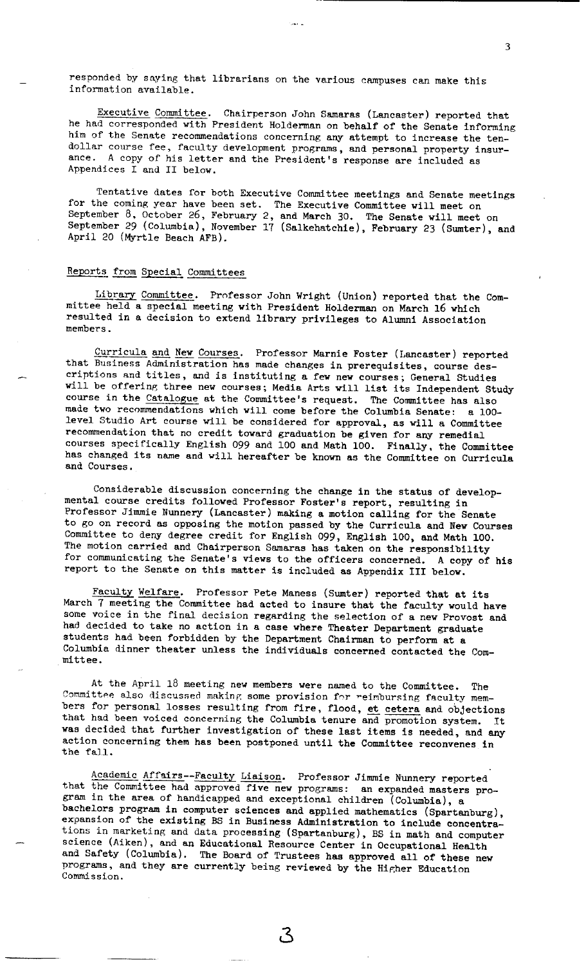responded by saying that librarians on the various campuses can make this information available.

Executive Committee. Chairperson John Samaras (Lancaster) reported that he had corresponded with President Holderman on behalf of the Senate informing him of the Senate recommendations concerning any attempt to increase the tendollar course fee, faculty development programs, and personal property insurance. A copy of his letter and the President's response are included as Appendices I and II below.

Tentative dates for both Executive Committee meetings and Senate meetings for the coming year have been set. The Executive Committee will meet on September 8, October 26, February 2, and March 30. The Senate will meet on September 29 (Columbia), November 17 (Salkehatchie), February 23 (Sumter), and April 20 (Myrtle Beach AFB).

## Reports from Special Committees

Library Committee. Professor John Wright (Union) reported that the Committee held a special meeting with President Holderman on March 16 which resulted in a decision to extend library privileges to Alumni Association members.

Curricula and New Courses. Professor Marnie Foster (Lancaster) reported that Business Administration has made changes in prerequisites, course descriptions and titles, and is instituting a few new courses; General Studies will be offering three new courses; Media Arts will list its Independent Study course in the Catalogue at the Committee's request. The Committee has also made two recommendations which will come before the Columbia Senate: a 100 level Studio Art course will be considered for approval, as will a Committee recommendation that no credit toward graduation be given for any remedial courses specifically English 099 and 100 and Math 100. Finally, the Committee has changed its name and will hereafter be known as the Committee on Curricula and Courses.

Considerable discussion concerning the change in the status of developmental course credits followed Professor Foster's report, resulting in Professor Jimmie Nunnery (Lancaster) making a motion calling for the Senate to go on record as opposing the motion passed by the Curricula and **New** Courses Committee to deny degree credit for English 099, English 100, and Math 100, The motion carried and Chairperson Samaras has taken on the responsibility for communicating the Senate's views to the officers concerned. A copy of his report to the Senate on this matter is included as Appendix III below.

Faculty Welfare. Professor Pete Maness (Sumter) reported that at its March 7 meeting the Committee had acted to insure that the faculty would have some voice in the final decision regarding the selection of a new Provost and had decided to take no action in <sup>a</sup>case where Theater Department graduate students had been forbidden by the Department Chairman to perform at <sup>a</sup> Columbia dinner theater unless the individuals concerned contacted the Committee.

At the April 18 meeting new members were named to the Committee. The Committee also discussed making some provision for reimbursing faculty members for personal losses resulting from fire, flood, et cetera and objections that had been voiced concerning the Columbia tenure and promotion system. It **was** decided that further investigation of these last items is needed, and any action concerning them has been postponed until the Committee reconvenes in the fall.

Academic Affairs--Faculty Liaison. Professor Jimmie Nunnery reported that the Committee had approved five new programs: an expanded masters program in the area of handicapped and exceptional children (Columbia), <sup>a</sup> bachelors program in computer sciences and applied mathematics (Spartanburg), expansion of the existing BS in Business Administration to include concentrations in marketing and data processing (Spartanburg), BS in math and computer science (Aiken), and an Educational Resource Center in Occupational Health and Safety (Columbia). The Board of Trustees **has** approved all of these new programs, and they are currently being reviewed by the Higher Education Commission.

ج